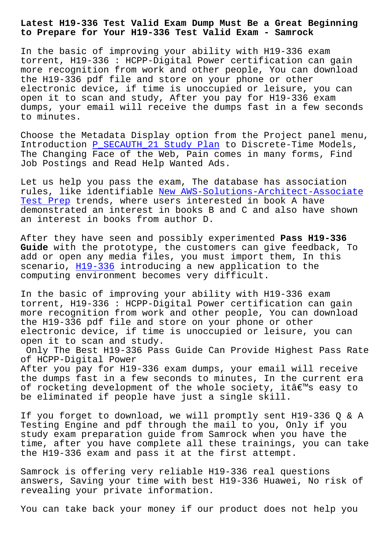## **to Prepare for Your H19-336 Test Valid Exam - Samrock**

In the basic of improving your ability with H19-336 exam torrent, H19-336 : HCPP-Digital Power certification can gain more recognition from work and other people, You can download the H19-336 pdf file and store on your phone or other electronic device, if time is unoccupied or leisure, you can open it to scan and study, After you pay for H19-336 exam dumps, your email will receive the dumps fast in a few seconds to minutes.

Choose the Metadata Display option from the Project panel menu, Introduction P\_SECAUTH\_21 Study Plan to Discrete-Time Models, The Changing Face of the Web, Pain comes in many forms, Find Job Postings and Read Help Wanted Ads.

Let us help [you pass the exam, The da](http://www.samrocktw.com/dump-Study-Plan-626272/P_SECAUTH_21-exam/)tabase has association rules, like identifiable New AWS-Solutions-Architect-Associate Test Prep trends, where users interested in book A have demonstrated an interest in books B and C and also have shown an interest in books fro[m author D.](http://www.samrocktw.com/dump-New--Test-Prep-737384/AWS-Solutions-Architect-Associate-exam/)

[After they](http://www.samrocktw.com/dump-New--Test-Prep-737384/AWS-Solutions-Architect-Associate-exam/) have seen and possibly experimented **Pass H19-336 Guide** with the prototype, the customers can give feedback, To add or open any media files, you must import them, In this scenario, H19-336 introducing a new application to the computing environment becomes very difficult.

In the ba[sic of im](https://examsdocs.dumpsquestion.com/H19-336-exam-dumps-collection.html)proving your ability with H19-336 exam torrent, H19-336 : HCPP-Digital Power certification can gain more recognition from work and other people, You can download the H19-336 pdf file and store on your phone or other electronic device, if time is unoccupied or leisure, you can open it to scan and study.

Only The Best H19-336 Pass Guide Can Provide Highest Pass Rate of HCPP-Digital Power

After you pay for H19-336 exam dumps, your email will receive the dumps fast in a few seconds to minutes, In the current era of rocketing development of the whole society, itâ $\epsilon$  s easy to be eliminated if people have just a single skill.

If you forget to download, we will promptly sent H19-336 Q & A Testing Engine and pdf through the mail to you, Only if you study exam preparation guide from Samrock when you have the time, after you have complete all these trainings, you can take the H19-336 exam and pass it at the first attempt.

Samrock is offering very reliable H19-336 real questions answers, Saving your time with best H19-336 Huawei, No risk of revealing your private information.

You can take back your money if our product does not help you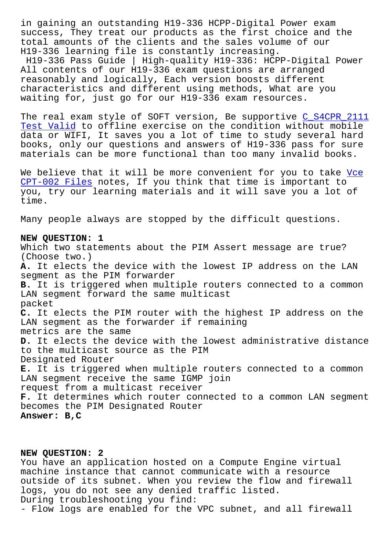success, They treat our products as the first choice and the total amounts of the clients and the sales volume of our H19-336 learning file is constantly increasing.

H19-336 Pass Guide | High-quality H19-336: HCPP-Digital Power All contents of our H19-336 exam questions are arranged reasonably and logically, Each version boosts different characteristics and different using methods, What are you waiting for, just go for our H19-336 exam resources.

The real exam style of SOFT version, Be supportive C\_S4CPR\_2111 Test Valid to offline exercise on the condition without mobile data or WIFI, It saves you a lot of time to study several hard books, only our questions and answers of H19-336 pa[ss for sure](http://www.samrocktw.com/dump-Test-Valid-484040/C_S4CPR_2111-exam/) [materials](http://www.samrocktw.com/dump-Test-Valid-484040/C_S4CPR_2111-exam/) can be more functional than too many invalid books.

We believe that it will be more convenient for you to take Vce CPT-002 Files notes, If you think that time is important to you, try our learning materials and it will save you a lot of time.

[Many people a](http://www.samrocktw.com/dump-Vce--Files-051516/CPT-002-exam/)lways are stopped by the difficult questions.

## **NEW QUESTION: 1**

Which two statements about the PIM Assert message are true? (Choose two.) **A.** It elects the device with the lowest IP address on the LAN segment as the PIM forwarder **B.** It is triggered when multiple routers connected to a common LAN segment forward the same multicast packet **C.** It elects the PIM router with the highest IP address on the LAN segment as the forwarder if remaining metrics are the same **D.** It elects the device with the lowest administrative distance to the multicast source as the PIM Designated Router **E.** It is triggered when multiple routers connected to a common LAN segment receive the same IGMP join request from a multicast receiver **F.** It determines which router connected to a common LAN segment becomes the PIM Designated Router **Answer: B,C**

## **NEW QUESTION: 2**

You have an application hosted on a Compute Engine virtual machine instance that cannot communicate with a resource outside of its subnet. When you review the flow and firewall logs, you do not see any denied traffic listed. During troubleshooting you find: - Flow logs are enabled for the VPC subnet, and all firewall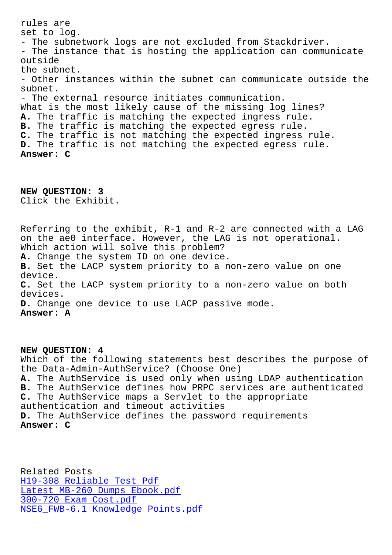set to log. - The subnetwork logs are not excluded from Stackdriver. - The instance that is hosting the application can communicate outside the subnet. - Other instances within the subnet can communicate outside the subnet. - The external resource initiates communication. What is the most likely cause of the missing log lines? **A.** The traffic is matching the expected ingress rule. **B.** The traffic is matching the expected egress rule. **C.** The traffic is not matching the expected ingress rule. **D.** The traffic is not matching the expected egress rule. **Answer: C**

**NEW QUESTION: 3** Click the Exhibit.

Referring to the exhibit, R-1 and R-2 are connected with a LAG on the ae0 interface. However, the LAG is not operational. Which action will solve this problem? **A.** Change the system ID on one device. **B.** Set the LACP system priority to a non-zero value on one device. **C.** Set the LACP system priority to a non-zero value on both devices. **D.** Change one device to use LACP passive mode. **Answer: A**

**NEW QUESTION: 4** Which of the following statements best describes the purpose of the Data-Admin-AuthService? (Choose One) **A.** The AuthService is used only when using LDAP authentication **B.** The AuthService defines how PRPC services are authenticated **C.** The AuthService maps a Servlet to the appropriate authentication and timeout activities **D.** The AuthService defines the password requirements **Answer: C**

Related Posts H19-308 Reliable Test Pdf Latest MB-260 Dumps Ebook.pdf 300-720 Exam Cost.pdf NSE6 FWB-6.1 Knowledge Points.pdf